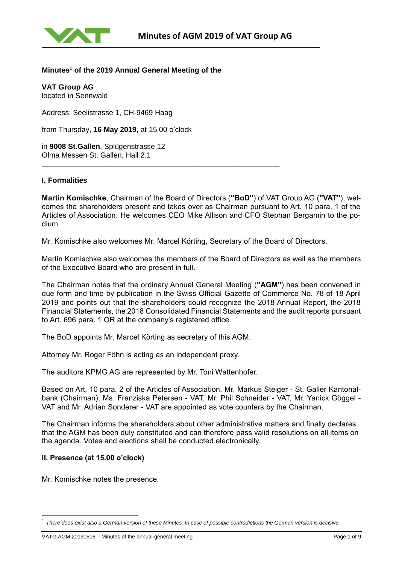

# **Minutes<sup>1</sup> of the 2019 Annual General Meeting of the**

**VAT Group AG** located in Sennwald

Address: Seelistrasse 1, CH-9469 Haag

from Thursday, **16 May 2019**, at 15.00 o'clock

in **9008 St.Gallen**, Splügenstrasse 12 Olma Messen St. Gallen, Hall 2.1

### **I. Formalities**

**Martin Komischke**, Chairman of the Board of Directors (**"BoD"**) of VAT Group AG (**"VAT"**), welcomes the shareholders present and takes over as Chairman pursuant to Art. 10 para. 1 of the Articles of Association. He welcomes CEO Mike Allison and CFO Stephan Bergamin to the podium.

Mr. Komischke also welcomes Mr. Marcel Körting, Secretary of the Board of Directors.

**\_\_\_\_\_\_\_\_\_\_\_\_\_\_\_\_\_\_\_\_\_\_\_\_\_\_\_\_\_\_\_\_\_\_\_\_\_\_\_\_\_\_\_\_\_\_\_\_\_\_\_\_\_\_\_\_\_\_**

Martin Komischke also welcomes the members of the Board of Directors as well as the members of the Executive Board who are present in full.

The Chairman notes that the ordinary Annual General Meeting (**"AGM"**) has been convened in due form and time by publication in the Swiss Official Gazette of Commerce No. 78 of 18 April 2019 and points out that the shareholders could recognize the 2018 Annual Report, the 2018 Financial Statements, the 2018 Consolidated Financial Statements and the audit reports pursuant to Art. 696 para. 1 OR at the company's registered office.

The BoD appoints Mr. Marcel Körting as secretary of this AGM.

Attorney Mr. Roger Föhn is acting as an independent proxy.

The auditors KPMG AG are represented by Mr. Toni Wattenhofer.

Based on Art. 10 para. 2 of the Articles of Association, Mr. Markus Steiger - St. Galler Kantonalbank (Chairman), Ms. Franziska Petersen - VAT, Mr. Phil Schneider - VAT, Mr. Yanick Göggel - VAT and Mr. Adrian Sonderer - VAT are appointed as vote counters by the Chairman.

The Chairman informs the shareholders about other administrative matters and finally declares that the AGM has been duly constituted and can therefore pass valid resolutions on all items on the agenda. Votes and elections shall be conducted electronically.

#### **II. Presence (at 15.00 o'clock)**

l

Mr. Komischke notes the presence.

<sup>1</sup> *There does exist also a German version of these Minutes. In case of possible contradictions the German version is decisive.*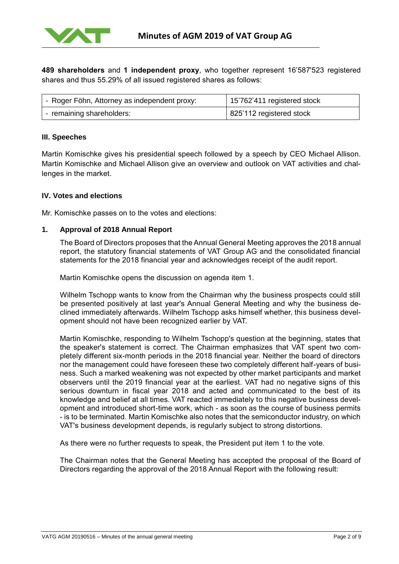

**489 shareholders** and **1 independent proxy**, who together represent 16'587'523 registered shares and thus 55.29% of all issued registered shares as follows:

| '- Roger Föhn, Attorney as independent proxy: | 15'762'411 registered stock |
|-----------------------------------------------|-----------------------------|
| - remaining shareholders:                     | 825'112 registered stock    |

# **III. Speeches**

Martin Komischke gives his presidential speech followed by a speech by CEO Michael Allison. Martin Komischke and Michael Allison give an overview and outlook on VAT activities and challenges in the market.

#### **IV. Votes and elections**

Mr. Komischke passes on to the votes and elections:

#### **1. Approval of 2018 Annual Report**

The Board of Directors proposes that the Annual General Meeting approves the 2018 annual report, the statutory financial statements of VAT Group AG and the consolidated financial statements for the 2018 financial year and acknowledges receipt of the audit report.

Martin Komischke opens the discussion on agenda item 1.

Wilhelm Tschopp wants to know from the Chairman why the business prospects could still be presented positively at last year's Annual General Meeting and why the business declined immediately afterwards. Wilhelm Tschopp asks himself whether, this business development should not have been recognized earlier by VAT.

Martin Komischke, responding to Wilhelm Tschopp's question at the beginning, states that the speaker's statement is correct. The Chairman emphasizes that VAT spent two completely different six-month periods in the 2018 financial year. Neither the board of directors nor the management could have foreseen these two completely different half-years of business. Such a marked weakening was not expected by other market participants and market observers until the 2019 financial year at the earliest. VAT had no negative signs of this serious downturn in fiscal year 2018 and acted and communicated to the best of its knowledge and belief at all times. VAT reacted immediately to this negative business development and introduced short-time work, which - as soon as the course of business permits - is to be terminated. Martin Komischke also notes that the semiconductor industry, on which VAT's business development depends, is regularly subject to strong distortions.

As there were no further requests to speak, the President put item 1 to the vote.

The Chairman notes that the General Meeting has accepted the proposal of the Board of Directors regarding the approval of the 2018 Annual Report with the following result: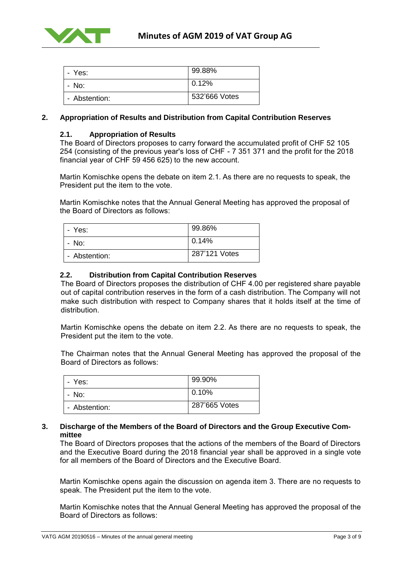

| - Yes:        | 99.88%        |
|---------------|---------------|
| - No:         | 0.12%         |
| - Abstention: | 532'666 Votes |

# **2. Appropriation of Results and Distribution from Capital Contribution Reserves**

#### **2.1. Appropriation of Results**

The Board of Directors proposes to carry forward the accumulated profit of CHF 52 105 254 (consisting of the previous year's loss of CHF - 7 351 371 and the profit for the 2018 financial year of CHF 59 456 625) to the new account.

Martin Komischke opens the debate on item 2.1. As there are no requests to speak, the President put the item to the vote.

Martin Komischke notes that the Annual General Meeting has approved the proposal of the Board of Directors as follows:

| - Yes:        | 99.86%        |
|---------------|---------------|
| - No:         | 0.14%         |
| - Abstention: | 287'121 Votes |

### **2.2. [Distribution from Capital Contribution Reserves](file:///C:/Users/koem/AppData/Local/Microsoft/Windows/INetCache/Content.Outlook/8T22CDA9/2017%2003%2031%20-%20GV%20Einladung.docx%23_Toc478713180)**

The Board of Directors proposes the distribution of CHF 4.00 per registered share payable out of capital contribution reserves in the form of a cash distribution. The Company will not make such distribution with respect to Company shares that it holds itself at the time of distribution.

Martin Komischke opens the debate on item 2.2. As there are no requests to speak, the President put the item to the vote.

The Chairman notes that the Annual General Meeting has approved the proposal of the Board of Directors as follows:

| - Yes:        | 99.90%        |
|---------------|---------------|
| - No:         | l 0.10%       |
| - Abstention: | 287'665 Votes |

#### **3. Discharge of the Members of the Board of Directors and the Group Executive Committee**

The Board of Directors proposes that the actions of the members of the Board of Directors and the Executive Board during the 2018 financial year shall be approved in a single vote for all members of the Board of Directors and the Executive Board.

Martin Komischke opens again the discussion on agenda item 3. There are no requests to speak. The President put the item to the vote.

Martin Komischke notes that the Annual General Meeting has approved the proposal of the Board of Directors as follows: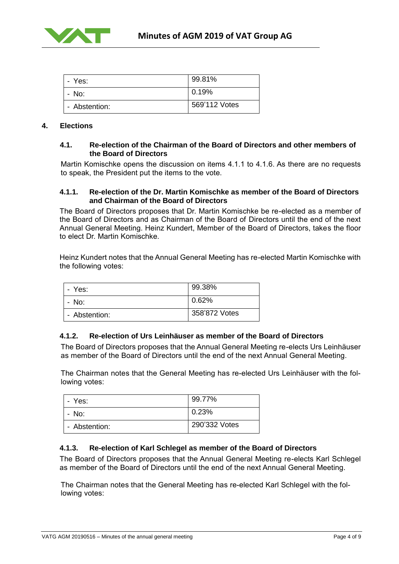

| - Yes:        | 99.81%        |
|---------------|---------------|
| - No:         | 0.19%         |
| - Abstention: | 569'112 Votes |

#### **4. [Elections](file:///C:/Users/koem/AppData/Local/Microsoft/Windows/INetCache/Content.Outlook/8T22CDA9/2017%2003%2031%20-%20GV%20Einladung.docx%23_Toc478713182)**

### **4.1. Re-election of the Chairman of the Board of Directors and other members of the Board of Directors**

Martin Komischke opens the discussion on items 4.1.1 to 4.1.6. As there are no requests to speak, the President put the items to the vote.

#### **4.1.1. Re-election of the Dr. Martin Komischke as member of the Board of Directors and Chairman of the Board of Directors**

The Board of Directors proposes that Dr. Martin Komischke be re-elected as a member of the Board of Directors and as Chairman of the Board of Directors until the end of the next Annual General Meeting. Heinz Kundert, Member of the Board of Directors, takes the floor to elect Dr. Martin Komischke.

Heinz Kundert notes that the Annual General Meeting has re-elected Martin Komischke with the following votes:

| - Yes:        | 99.38%        |
|---------------|---------------|
| - No:         | 0.62%         |
| - Abstention: | 358'872 Votes |

# **4.1.2. Re-election of Urs Leinhäuser as member of the Board of Directors**

The Board of Directors proposes that the Annual General Meeting re-elects Urs Leinhäuser as member of the Board of Directors until the end of the next Annual General Meeting.

The Chairman notes that the General Meeting has re-elected Urs Leinhäuser with the following votes:

| - Yes:        | 99.77%        |
|---------------|---------------|
| - No:         | 0.23%         |
| - Abstention: | 290'332 Votes |

# **4.1.3. Re-election of Karl Schlegel as member of the Board of Directors**

The Board of Directors proposes that the Annual General Meeting re-elects Karl Schlegel as member of the Board of Directors until the end of the next Annual General Meeting.

The Chairman notes that the General Meeting has re-elected Karl Schlegel with the following votes: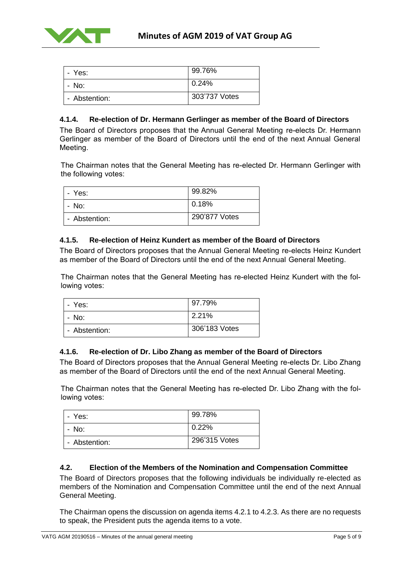

| - Yes:        | 99.76%        |
|---------------|---------------|
| - No:         | 0.24%         |
| - Abstention: | 303'737 Votes |

# **4.1.4. Re-election of Dr. Hermann Gerlinger as member of the Board of Directors**

The Board of Directors proposes that the Annual General Meeting re-elects Dr. Hermann Gerlinger as member of the Board of Directors until the end of the next Annual General Meeting.

The Chairman notes that the General Meeting has re-elected Dr. Hermann Gerlinger with the following votes:

| - Yes:        | 99.82%        |
|---------------|---------------|
| - No:         | 0.18%         |
| - Abstention: | 290'877 Votes |

# **4.1.5. Re-election of Heinz Kundert as member of the Board of Directors**

The Board of Directors proposes that the Annual General Meeting re-elects Heinz Kundert as member of the Board of Directors until the end of the next Annual General Meeting.

The Chairman notes that the General Meeting has re-elected Heinz Kundert with the following votes:

| - Yes:        | 97.79%        |
|---------------|---------------|
| - No:         | 2.21%         |
| - Abstention: | 306'183 Votes |

# **4.1.6. Re-election of Dr. Libo Zhang as member of the Board of Directors**

The Board of Directors proposes that the Annual General Meeting re-elects Dr. Libo Zhang as member of the Board of Directors until the end of the next Annual General Meeting.

The Chairman notes that the General Meeting has re-elected Dr. Libo Zhang with the following votes:

| - Yes:        | 99.78%        |
|---------------|---------------|
| - No:         | 0.22%         |
| - Abstention: | 296'315 Votes |

# **4.2. Election of the Members of the Nomination and Compensation Committee**

The Board of Directors proposes that the following individuals be individually re-elected as members of the Nomination and Compensation Committee until the end of the next Annual General Meeting.

The Chairman opens the discussion on agenda items 4.2.1 to 4.2.3. As there are no requests to speak, the President puts the agenda items to a vote.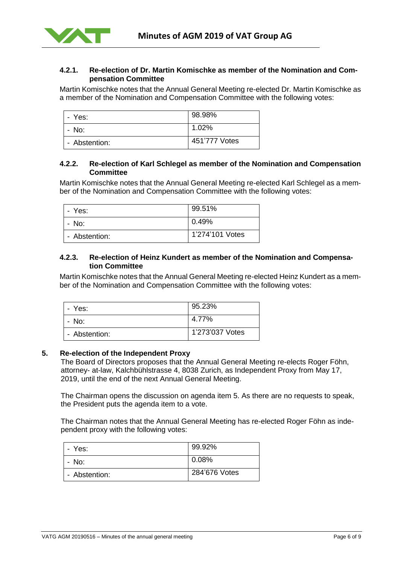

# **4.2.1. Re-election of Dr. Martin Komischke as member of the Nomination and Compensation Committee**

Martin Komischke notes that the Annual General Meeting re-elected Dr. Martin Komischke as a member of the Nomination and Compensation Committee with the following votes:

| - Yes:        | 98.98%        |
|---------------|---------------|
| - No:         | 1.02%         |
| - Abstention: | 451'777 Votes |

# **4.2.2. Re-election of Karl Schlegel as member of the Nomination and Compensation Committee**

Martin Komischke notes that the Annual General Meeting re-elected Karl Schlegel as a member of the Nomination and Compensation Committee with the following votes:

| - Yes:        | 99.51%          |
|---------------|-----------------|
| - No:         | 0.49%           |
| - Abstention: | 1'274'101 Votes |

### **4.2.3. Re-election of Heinz Kundert as member of the Nomination and Compensation Committee**

Martin Komischke notes that the Annual General Meeting re-elected Heinz Kundert as a member of the Nomination and Compensation Committee with the following votes:

| - Yes:        | 95.23%          |
|---------------|-----------------|
| - No:         | 4.77%           |
| - Abstention: | 1'273'037 Votes |

# **5. Re-election of the Independent Proxy**

The Board of Directors proposes that the Annual General Meeting re-elects Roger Föhn, attorney- at-law, Kalchbühlstrasse 4, 8038 Zurich, as Independent Proxy from May 17, 2019, until the end of the next Annual General Meeting.

The Chairman opens the discussion on agenda item 5. As there are no requests to speak, the President puts the agenda item to a vote.

The Chairman notes that the Annual General Meeting has re-elected Roger Föhn as independent proxy with the following votes:

| - Yes:        | 99.92%        |
|---------------|---------------|
| - No:         | $0.08\%$      |
| - Abstention: | 284'676 Votes |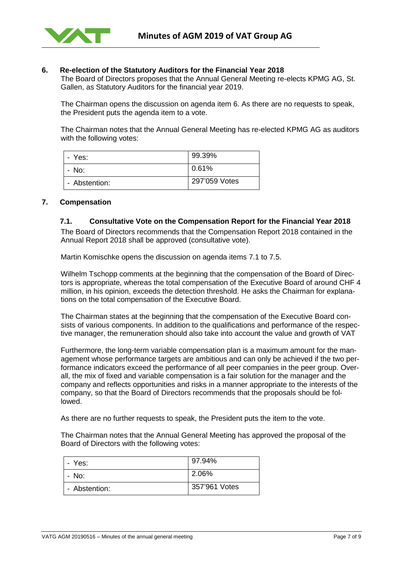

### **6. Re-election of the Statutory Auditors for the Financial Year 2018**

The Board of Directors proposes that the Annual General Meeting re-elects KPMG AG, St. Gallen, as Statutory Auditors for the financial year 2019.

The Chairman opens the discussion on agenda item 6. As there are no requests to speak, the President puts the agenda item to a vote.

The Chairman notes that the Annual General Meeting has re-elected KPMG AG as auditors with the following votes:

| - Yes:        | 99.39%        |
|---------------|---------------|
| - No:         | 0.61%         |
| - Abstention: | 297'059 Votes |

#### **7. Compensation**

#### **7.1. Consultative Vote on the Compensation Report for the Financial Year 2018**

The Board of Directors recommends that the Compensation Report 2018 contained in the Annual Report 2018 shall be approved (consultative vote).

Martin Komischke opens the discussion on agenda items 7.1 to 7.5.

Wilhelm Tschopp comments at the beginning that the compensation of the Board of Directors is appropriate, whereas the total compensation of the Executive Board of around CHF 4 million, in his opinion, exceeds the detection threshold. He asks the Chairman for explanations on the total compensation of the Executive Board.

The Chairman states at the beginning that the compensation of the Executive Board consists of various components. In addition to the qualifications and performance of the respective manager, the remuneration should also take into account the value and growth of VAT

Furthermore, the long-term variable compensation plan is a maximum amount for the management whose performance targets are ambitious and can only be achieved if the two performance indicators exceed the performance of all peer companies in the peer group. Overall, the mix of fixed and variable compensation is a fair solution for the manager and the company and reflects opportunities and risks in a manner appropriate to the interests of the company, so that the Board of Directors recommends that the proposals should be followed.

As there are no further requests to speak, the President puts the item to the vote.

The Chairman notes that the Annual General Meeting has approved the proposal of the Board of Directors with the following votes:

| - Yes:        | 97.94%        |
|---------------|---------------|
| - No:         | 2.06%         |
| - Abstention: | 357'961 Votes |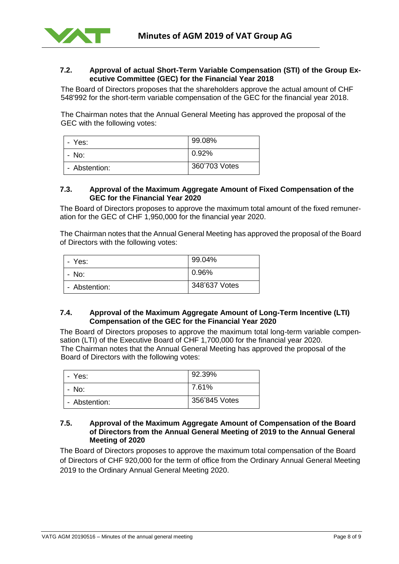

# **7.2. Approval of actual Short-Term Variable Compensation (STI) of the Group Executive Committee (GEC) for the Financial Year 2018**

The Board of Directors proposes that the shareholders approve the actual amount of CHF 548'992 for the short-term variable compensation of the GEC for the financial year 2018.

The Chairman notes that the Annual General Meeting has approved the proposal of the GEC with the following votes:

| - Yes:        | 99.08%        |
|---------------|---------------|
| - No:         | 0.92%         |
| - Abstention: | 360'703 Votes |

#### **7.3. Approval of the Maximum Aggregate Amount of Fixed Compensation of the GEC for the Financial Year 2020**

The Board of Directors proposes to approve the maximum total amount of the fixed remuneration for the GEC of CHF 1,950,000 for the financial year 2020.

The Chairman notes that the Annual General Meeting has approved the proposal of the Board of Directors with the following votes:

| - Yes:        | 99.04%        |
|---------------|---------------|
| - No:         | 0.96%         |
| - Abstention: | 348'637 Votes |

# **7.4. Approval of the Maximum Aggregate Amount of Long-Term Incentive (LTI) Compensation of the GEC for the Financial Year 2020**

The Board of Directors proposes to approve the maximum total long-term variable compensation (LTI) of the Executive Board of CHF 1,700,000 for the financial year 2020. The Chairman notes that the Annual General Meeting has approved the proposal of the Board of Directors with the following votes:

| - Yes:        | 92.39%        |
|---------------|---------------|
| - No:         | 7.61%         |
| - Abstention: | 356'845 Votes |

### **7.5. Approval of the Maximum Aggregate Amount of Compensation of the Board of Directors from the Annual General Meeting of 2019 to the Annual General Meeting of 2020**

The Board of Directors proposes to approve the maximum total compensation of the Board of Directors of CHF 920,000 for the term of office from the Ordinary Annual General Meeting 2019 to the Ordinary Annual General Meeting 2020.